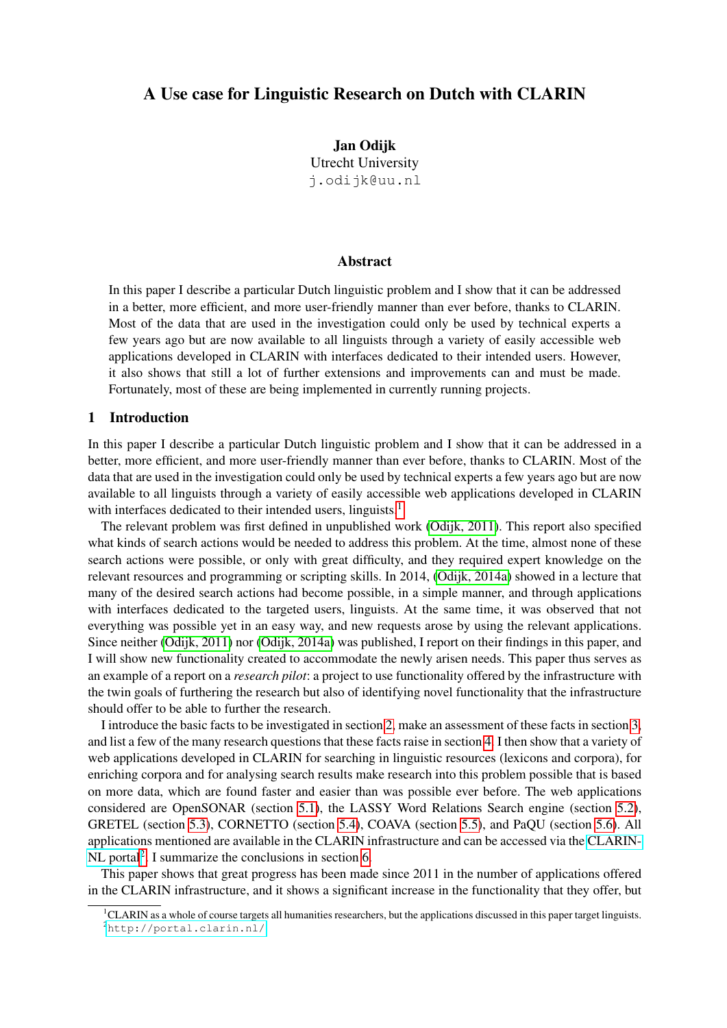# A Use case for Linguistic Research on Dutch with CLARIN

Jan Odijk Utrecht University j.odijk@uu.nl

### Abstract

In this paper I describe a particular Dutch linguistic problem and I show that it can be addressed in a better, more efficient, and more user-friendly manner than ever before, thanks to CLARIN. Most of the data that are used in the investigation could only be used by technical experts a few years ago but are now available to all linguists through a variety of easily accessible web applications developed in CLARIN with interfaces dedicated to their intended users. However, it also shows that still a lot of further extensions and improvements can and must be made. Fortunately, most of these are being implemented in currently running projects.

#### 1 Introduction

In this paper I describe a particular Dutch linguistic problem and I show that it can be addressed in a better, more efficient, and more user-friendly manner than ever before, thanks to CLARIN. Most of the data that are used in the investigation could only be used by technical experts a few years ago but are now available to all linguists through a variety of easily accessible web applications developed in CLARIN with interfaces dedicated to their intended users, linguists.<sup>[1](#page-0-0)</sup>

The relevant problem was first defined in unpublished work [\(Odijk, 2011\)](#page-15-0). This report also specified what kinds of search actions would be needed to address this problem. At the time, almost none of these search actions were possible, or only with great difficulty, and they required expert knowledge on the relevant resources and programming or scripting skills. In 2014, [\(Odijk, 2014a\)](#page-15-1) showed in a lecture that many of the desired search actions had become possible, in a simple manner, and through applications with interfaces dedicated to the targeted users, linguists. At the same time, it was observed that not everything was possible yet in an easy way, and new requests arose by using the relevant applications. Since neither [\(Odijk, 2011\)](#page-15-0) nor [\(Odijk, 2014a\)](#page-15-1) was published, I report on their findings in this paper, and I will show new functionality created to accommodate the newly arisen needs. This paper thus serves as an example of a report on a *research pilot*: a project to use functionality offered by the infrastructure with the twin goals of furthering the research but also of identifying novel functionality that the infrastructure should offer to be able to further the research.

I introduce the basic facts to be investigated in section [2,](#page-1-0) make an assessment of these facts in section [3,](#page-1-1) and list a few of the many research questions that these facts raise in section [4.](#page-2-0) I then show that a variety of web applications developed in CLARIN for searching in linguistic resources (lexicons and corpora), for enriching corpora and for analysing search results make research into this problem possible that is based on more data, which are found faster and easier than was possible ever before. The web applications considered are OpenSONAR (section [5.1\)](#page-3-0), the LASSY Word Relations Search engine (section [5.2\)](#page-4-0), GRETEL (section [5.3\)](#page-5-0), CORNETTO (section [5.4\)](#page-6-0), COAVA (section [5.5\)](#page-7-0), and PaQU (section [5.6\)](#page-9-0). All applications mentioned are available in the CLARIN infrastructure and can be accessed via the [CLARIN-](http://portal.clarin.nl/)[NL portal](http://portal.clarin.nl/)<sup>[2](#page-0-1)</sup>. I summarize the conclusions in section [6.](#page-13-0)

This paper shows that great progress has been made since 2011 in the number of applications offered in the CLARIN infrastructure, and it shows a significant increase in the functionality that they offer, but

<span id="page-0-1"></span><span id="page-0-0"></span><sup>&</sup>lt;sup>1</sup>CLARIN as a whole of course targets all humanities researchers, but the applications discussed in this paper target linguists. <sup>2</sup><http://portal.clarin.nl/>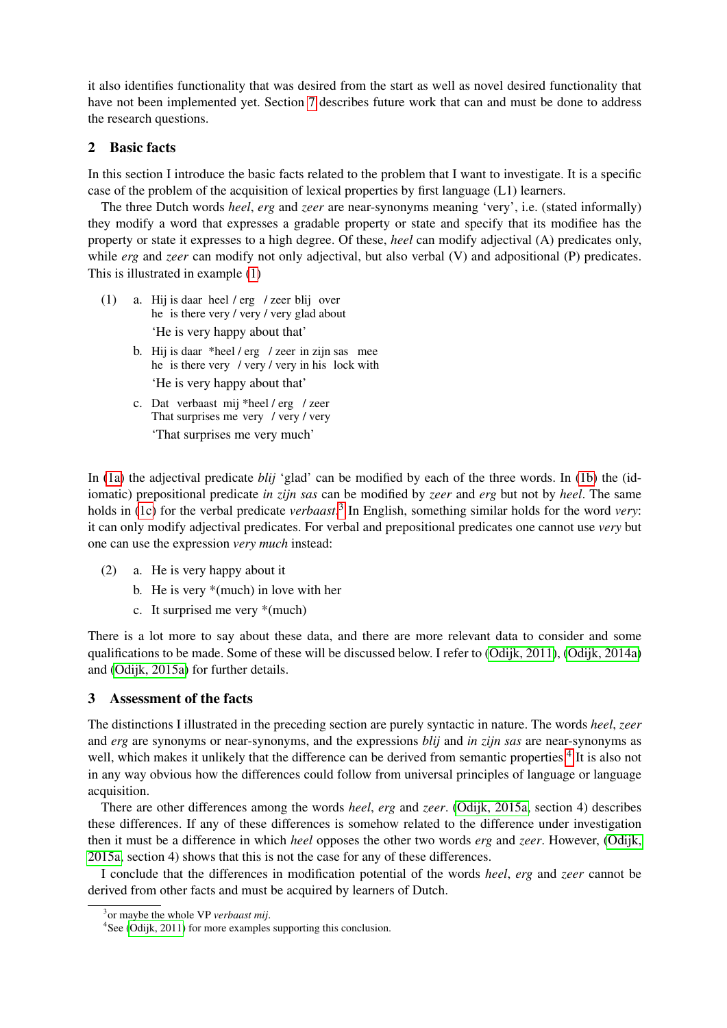it also identifies functionality that was desired from the start as well as novel desired functionality that have not been implemented yet. Section [7](#page-13-1) describes future work that can and must be done to address the research questions.

# <span id="page-1-0"></span>2 Basic facts

In this section I introduce the basic facts related to the problem that I want to investigate. It is a specific case of the problem of the acquisition of lexical properties by first language (L1) learners.

The three Dutch words *heel*, *erg* and *zeer* are near-synonyms meaning 'very', i.e. (stated informally) they modify a word that expresses a gradable property or state and specify that its modifiee has the property or state it expresses to a high degree. Of these, *heel* can modify adjectival (A) predicates only, while *erg* and *zeer* can modify not only adjectival, but also verbal (V) and adpositional (P) predicates. This is illustrated in example [\(1\)](#page-1-2)

- <span id="page-1-3"></span><span id="page-1-2"></span>(1) a. Hij is daar heel / erg / zeer blij over he is there very / very / very glad about 'He is very happy about that'
	- b. Hij is daar \*heel / erg / zeer in zijn sas mee he is there very / very / very in his lock with 'He is very happy about that'
	- c. Dat verbaast mij \*heel / erg / zeer That surprises me very / very / very 'That surprises me very much'

<span id="page-1-4"></span>In [\(1a\)](#page-1-2) the adjectival predicate *blij* 'glad' can be modified by each of the three words. In [\(1b\)](#page-1-3) the (idiomatic) prepositional predicate *in zijn sas* can be modified by *zeer* and *erg* but not by *heel*. The same holds in [\(1c\)](#page-1-4) for the verbal predicate *verbaast*. [3](#page-1-5) In English, something similar holds for the word *very*: it can only modify adjectival predicates. For verbal and prepositional predicates one cannot use *very* but one can use the expression *very much* instead:

- (2) a. He is very happy about it
	- b. He is very \*(much) in love with her
	- c. It surprised me very \*(much)

There is a lot more to say about these data, and there are more relevant data to consider and some qualifications to be made. Some of these will be discussed below. I refer to [\(Odijk, 2011\)](#page-15-0), [\(Odijk, 2014a\)](#page-15-1) and [\(Odijk, 2015a\)](#page-15-2) for further details.

## <span id="page-1-1"></span>3 Assessment of the facts

The distinctions I illustrated in the preceding section are purely syntactic in nature. The words *heel*, *zeer* and *erg* are synonyms or near-synonyms, and the expressions *blij* and *in zijn sas* are near-synonyms as well, which makes it unlikely that the difference can be derived from semantic properties.<sup>[4](#page-1-6)</sup> It is also not in any way obvious how the differences could follow from universal principles of language or language acquisition.

There are other differences among the words *heel*, *erg* and *zeer*. [\(Odijk, 2015a,](#page-15-2) section 4) describes these differences. If any of these differences is somehow related to the difference under investigation then it must be a difference in which *heel* opposes the other two words *erg* and *zeer*. However, [\(Odijk,](#page-15-2) [2015a,](#page-15-2) section 4) shows that this is not the case for any of these differences.

I conclude that the differences in modification potential of the words *heel*, *erg* and *zeer* cannot be derived from other facts and must be acquired by learners of Dutch.

<span id="page-1-5"></span><sup>3</sup> or maybe the whole VP *verbaast mij*.

<span id="page-1-6"></span><sup>4</sup> See [\(Odijk, 2011\)](#page-15-0) for more examples supporting this conclusion.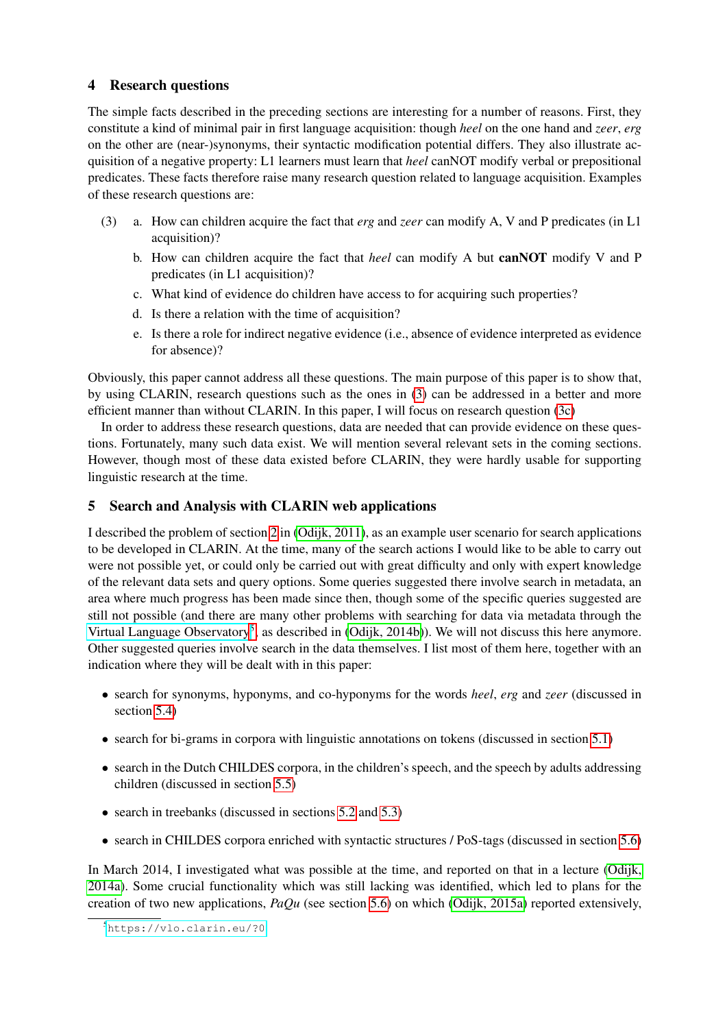# <span id="page-2-0"></span>4 Research questions

The simple facts described in the preceding sections are interesting for a number of reasons. First, they constitute a kind of minimal pair in first language acquisition: though *heel* on the one hand and *zeer*, *erg* on the other are (near-)synonyms, their syntactic modification potential differs. They also illustrate acquisition of a negative property: L1 learners must learn that *heel* canNOT modify verbal or prepositional predicates. These facts therefore raise many research question related to language acquisition. Examples of these research questions are:

- <span id="page-2-2"></span><span id="page-2-1"></span>(3) a. How can children acquire the fact that *erg* and *zeer* can modify A, V and P predicates (in L1 acquisition)?
	- b. How can children acquire the fact that *heel* can modify A but canNOT modify V and P predicates (in L1 acquisition)?
	- c. What kind of evidence do children have access to for acquiring such properties?
	- d. Is there a relation with the time of acquisition?
	- e. Is there a role for indirect negative evidence (i.e., absence of evidence interpreted as evidence for absence)?

Obviously, this paper cannot address all these questions. The main purpose of this paper is to show that, by using CLARIN, research questions such as the ones in [\(3\)](#page-2-1) can be addressed in a better and more efficient manner than without CLARIN. In this paper, I will focus on research question [\(3c\)](#page-2-2)

In order to address these research questions, data are needed that can provide evidence on these questions. Fortunately, many such data exist. We will mention several relevant sets in the coming sections. However, though most of these data existed before CLARIN, they were hardly usable for supporting linguistic research at the time.

# 5 Search and Analysis with CLARIN web applications

I described the problem of section [2](#page-1-0) in [\(Odijk, 2011\)](#page-15-0), as an example user scenario for search applications to be developed in CLARIN. At the time, many of the search actions I would like to be able to carry out were not possible yet, or could only be carried out with great difficulty and only with expert knowledge of the relevant data sets and query options. Some queries suggested there involve search in metadata, an area where much progress has been made since then, though some of the specific queries suggested are still not possible (and there are many other problems with searching for data via metadata through the [Virtual Language Observatory](https://vlo.clarin.eu/?0)<sup>[5](#page-2-3)</sup>, as described in [\(Odijk, 2014b\)](#page-15-3)). We will not discuss this here anymore. Other suggested queries involve search in the data themselves. I list most of them here, together with an indication where they will be dealt with in this paper:

- search for synonyms, hyponyms, and co-hyponyms for the words *heel*, *erg* and *zeer* (discussed in section [5.4\)](#page-6-0)
- search for bi-grams in corpora with linguistic annotations on tokens (discussed in section [5.1\)](#page-3-0)
- search in the Dutch CHILDES corpora, in the children's speech, and the speech by adults addressing children (discussed in section [5.5\)](#page-7-0)
- search in treebanks (discussed in sections [5.2](#page-4-0) and [5.3\)](#page-5-0)
- search in CHILDES corpora enriched with syntactic structures / PoS-tags (discussed in section [5.6\)](#page-9-0)

In March 2014, I investigated what was possible at the time, and reported on that in a lecture [\(Odijk,](#page-15-1) [2014a\)](#page-15-1). Some crucial functionality which was still lacking was identified, which led to plans for the creation of two new applications, *PaQu* (see section [5.6\)](#page-9-0) on which [\(Odijk, 2015a\)](#page-15-2) reported extensively,

<span id="page-2-3"></span><sup>5</sup><https://vlo.clarin.eu/?0>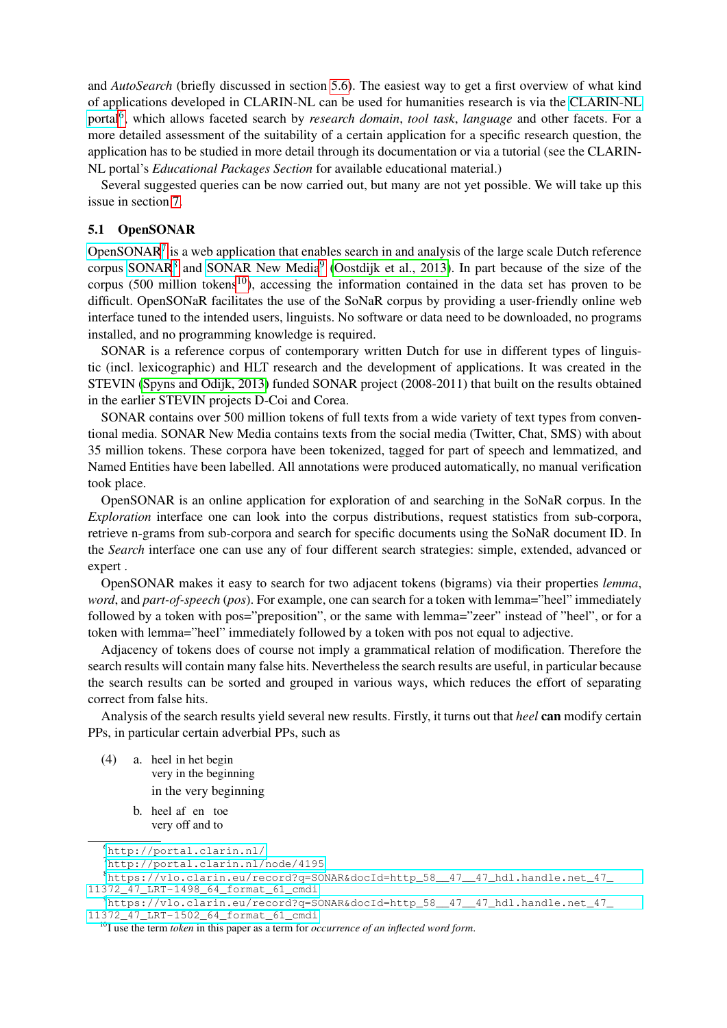and *AutoSearch* (briefly discussed in section [5.6\)](#page-9-0). The easiest way to get a first overview of what kind of applications developed in CLARIN-NL can be used for humanities research is via the [CLARIN-NL](http://portal.clarin.nl/) [portal](http://portal.clarin.nl/)<sup>[6](#page-3-1)</sup>, which allows faceted search by *research domain, tool task, language* and other facets. For a more detailed assessment of the suitability of a certain application for a specific research question, the application has to be studied in more detail through its documentation or via a tutorial (see the CLARIN-NL portal's *Educational Packages Section* for available educational material.)

Several suggested queries can be now carried out, but many are not yet possible. We will take up this issue in section [7.](#page-13-1)

### <span id="page-3-0"></span>5.1 OpenSONAR

[OpenSONAR](http://portal.clarin.nl/node/4195)<sup>[7](#page-3-2)</sup> is a web application that enables search in and analysis of the large scale Dutch reference corpus [SONAR](https://vlo.clarin.eu/record?q=SONAR&docId=http_58__47__47_hdl.handle.net_47_11372_47_LRT-1498_64_format_61_cmdi)<sup>[8](#page-3-3)</sup> and [SONAR New Media](https://vlo.clarin.eu/record?q=SONAR&docId=http_58__47__47_hdl.handle.net_47_11372_47_LRT-1502_64_format_61_cmdi)<sup>[9](#page-3-4)</sup> [\(Oostdijk et al., 2013\)](#page-15-4). In part because of the size of the corpus (500 million tokens<sup>[10](#page-3-5)</sup>), accessing the information contained in the data set has proven to be difficult. OpenSONaR facilitates the use of the SoNaR corpus by providing a user-friendly online web interface tuned to the intended users, linguists. No software or data need to be downloaded, no programs installed, and no programming knowledge is required.

SONAR is a reference corpus of contemporary written Dutch for use in different types of linguistic (incl. lexicographic) and HLT research and the development of applications. It was created in the STEVIN [\(Spyns and Odijk, 2013\)](#page-15-5) funded SONAR project (2008-2011) that built on the results obtained in the earlier STEVIN projects D-Coi and Corea.

SONAR contains over 500 million tokens of full texts from a wide variety of text types from conventional media. SONAR New Media contains texts from the social media (Twitter, Chat, SMS) with about 35 million tokens. These corpora have been tokenized, tagged for part of speech and lemmatized, and Named Entities have been labelled. All annotations were produced automatically, no manual verification took place.

OpenSONAR is an online application for exploration of and searching in the SoNaR corpus. In the *Exploration* interface one can look into the corpus distributions, request statistics from sub-corpora, retrieve n-grams from sub-corpora and search for specific documents using the SoNaR document ID. In the *Search* interface one can use any of four different search strategies: simple, extended, advanced or expert .

OpenSONAR makes it easy to search for two adjacent tokens (bigrams) via their properties *lemma*, *word*, and *part-of-speech* (*pos*). For example, one can search for a token with lemma="heel" immediately followed by a token with pos="preposition", or the same with lemma="zeer" instead of "heel", or for a token with lemma="heel" immediately followed by a token with pos not equal to adjective.

Adjacency of tokens does of course not imply a grammatical relation of modification. Therefore the search results will contain many false hits. Nevertheless the search results are useful, in particular because the search results can be sorted and grouped in various ways, which reduces the effort of separating correct from false hits.

Analysis of the search results yield several new results. Firstly, it turns out that *heel* can modify certain PPs, in particular certain adverbial PPs, such as

- (4) a. heel in het begin very in the beginning in the very beginning
	- b. heel af en toe very off and to

<span id="page-3-1"></span><sup>6</sup><http://portal.clarin.nl/>

<span id="page-3-3"></span><span id="page-3-2"></span><sup>7</sup><http://portal.clarin.nl/node/4195>

 $8$ [https://vlo.clarin.eu/record?q=SONAR&docId=http\\_58\\_\\_47\\_\\_47\\_hdl.handle.net\\_47\\_](https://vlo.clarin.eu/record?q=SONAR&docId=http_58__47__47_hdl.handle.net_47_11372_47_LRT-1498_64_format_61_cmdi) [11372\\_47\\_LRT-1498\\_64\\_format\\_61\\_cmdi](https://vlo.clarin.eu/record?q=SONAR&docId=http_58__47__47_hdl.handle.net_47_11372_47_LRT-1498_64_format_61_cmdi)

<span id="page-3-4"></span><sup>9</sup>[https://vlo.clarin.eu/record?q=SONAR&docId=http\\_58\\_\\_47\\_\\_47\\_hdl.handle.net\\_47\\_](https://vlo.clarin.eu/record?q=SONAR&docId=http_58__47__47_hdl.handle.net_47_11372_47_LRT-1502_64_format_61_cmdi) [11372\\_47\\_LRT-1502\\_64\\_format\\_61\\_cmdi](https://vlo.clarin.eu/record?q=SONAR&docId=http_58__47__47_hdl.handle.net_47_11372_47_LRT-1502_64_format_61_cmdi)

<span id="page-3-5"></span><sup>10</sup>I use the term *token* in this paper as a term for *occurrence of an inflected word form*.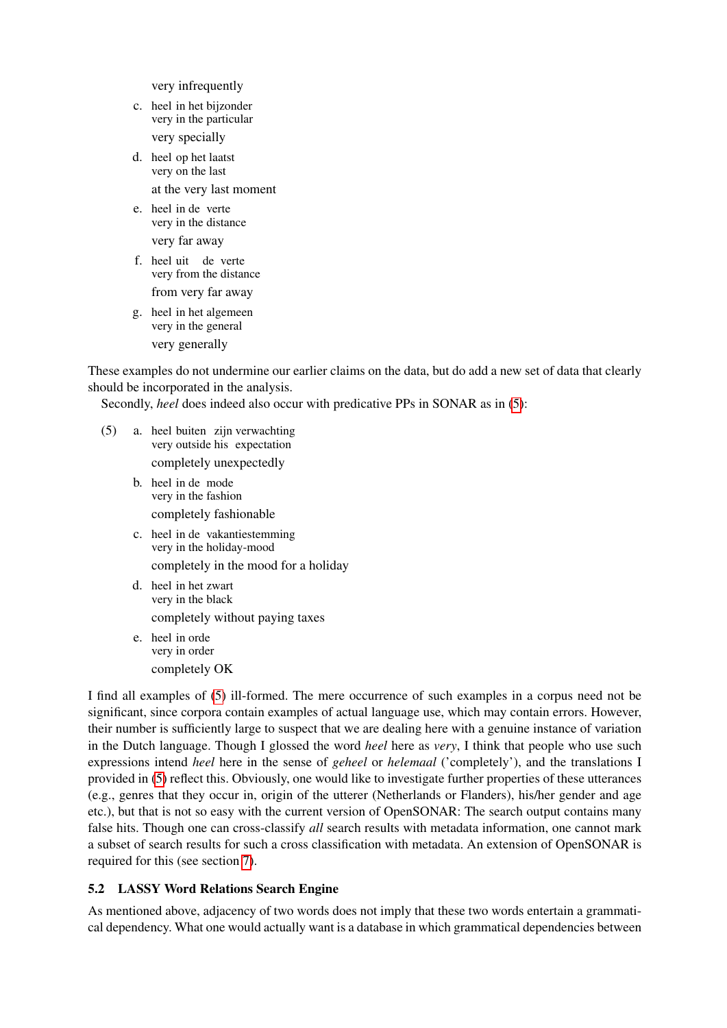very infrequently

- c. heel in het bijzonder very in the particular very specially
- d. heel op het laatst very on the last at the very last moment
- e. heel in de verte very in the distance very far away
- f. heel uit de verte very from the distance from very far away
- g. heel in het algemeen very in the general very generally

These examples do not undermine our earlier claims on the data, but do add a new set of data that clearly should be incorporated in the analysis.

Secondly, *heel* does indeed also occur with predicative PPs in SONAR as in [\(5\)](#page-4-1):

- <span id="page-4-1"></span>(5) a. heel buiten zijn verwachting very outside his expectation completely unexpectedly
	- b. heel in de mode very in the fashion completely fashionable
	- c. heel in de vakantiestemming very in the holiday-mood completely in the mood for a holiday
	- d. heel in het zwart very in the black completely without paying taxes
	- e. heel in orde very in order completely OK

I find all examples of [\(5\)](#page-4-1) ill-formed. The mere occurrence of such examples in a corpus need not be significant, since corpora contain examples of actual language use, which may contain errors. However, their number is sufficiently large to suspect that we are dealing here with a genuine instance of variation in the Dutch language. Though I glossed the word *heel* here as *very*, I think that people who use such expressions intend *heel* here in the sense of *geheel* or *helemaal* ('completely'), and the translations I provided in [\(5\)](#page-4-1) reflect this. Obviously, one would like to investigate further properties of these utterances (e.g., genres that they occur in, origin of the utterer (Netherlands or Flanders), his/her gender and age etc.), but that is not so easy with the current version of OpenSONAR: The search output contains many false hits. Though one can cross-classify *all* search results with metadata information, one cannot mark a subset of search results for such a cross classification with metadata. An extension of OpenSONAR is required for this (see section [7\)](#page-13-1).

# <span id="page-4-0"></span>5.2 LASSY Word Relations Search Engine

As mentioned above, adjacency of two words does not imply that these two words entertain a grammatical dependency. What one would actually want is a database in which grammatical dependencies between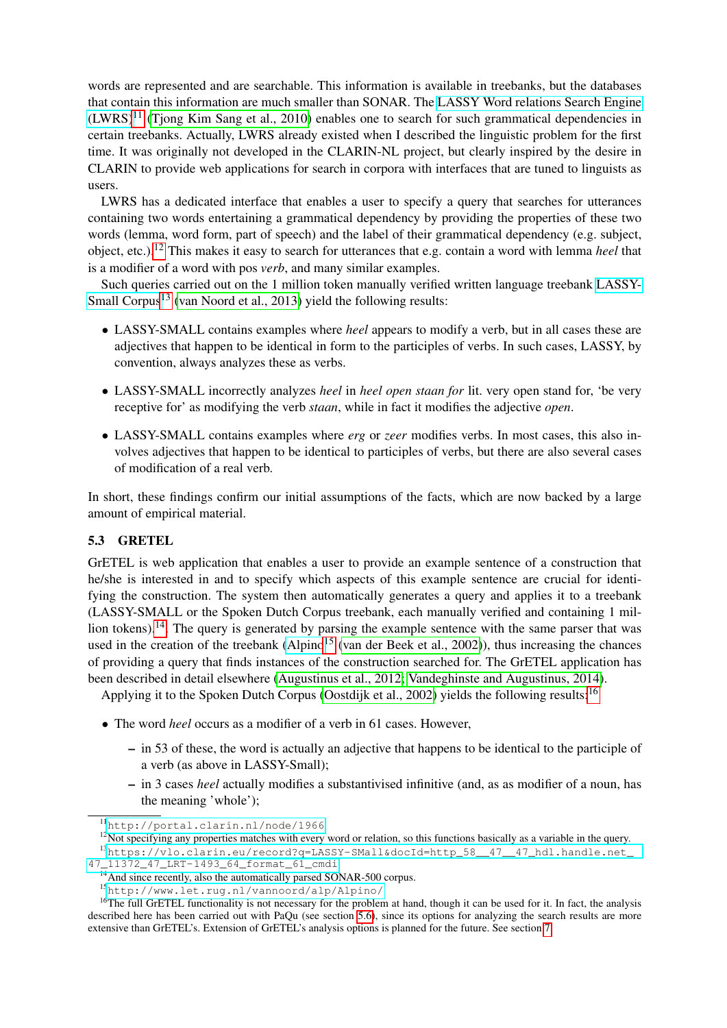words are represented and are searchable. This information is available in treebanks, but the databases that contain this information are much smaller than SONAR. The [LASSY Word relations Search Engine](http://portal.clarin.nl/node/1966)  $(LWRS)^{11}$  $(LWRS)^{11}$  $(LWRS)^{11}$  $(LWRS)^{11}$  (Tiong Kim Sang et al., 2010) enables one to search for such grammatical dependencies in certain treebanks. Actually, LWRS already existed when I described the linguistic problem for the first time. It was originally not developed in the CLARIN-NL project, but clearly inspired by the desire in CLARIN to provide web applications for search in corpora with interfaces that are tuned to linguists as users.

LWRS has a dedicated interface that enables a user to specify a query that searches for utterances containing two words entertaining a grammatical dependency by providing the properties of these two words (lemma, word form, part of speech) and the label of their grammatical dependency (e.g. subject, object, etc.).[12](#page-5-2) This makes it easy to search for utterances that e.g. contain a word with lemma *heel* that is a modifier of a word with pos *verb*, and many similar examples.

Such queries carried out on the 1 million token manually verified written language treebank [LASSY-](https://vlo.clarin.eu/record?q=LASSY-SMall&docId=http_58__47__47_hdl.handle.net_47_11372_47_LRT-1493_64_format_61_cmdi)[Small Corpus](https://vlo.clarin.eu/record?q=LASSY-SMall&docId=http_58__47__47_hdl.handle.net_47_11372_47_LRT-1493_64_format_61_cmdi)<sup>[13](#page-5-3)</sup> [\(van Noord et al., 2013\)](#page-15-7) yield the following results:

- LASSY-SMALL contains examples where *heel* appears to modify a verb, but in all cases these are adjectives that happen to be identical in form to the participles of verbs. In such cases, LASSY, by convention, always analyzes these as verbs.
- LASSY-SMALL incorrectly analyzes *heel* in *heel open staan for* lit. very open stand for, 'be very receptive for' as modifying the verb *staan*, while in fact it modifies the adjective *open*.
- LASSY-SMALL contains examples where *erg* or *zeer* modifies verbs. In most cases, this also involves adjectives that happen to be identical to participles of verbs, but there are also several cases of modification of a real verb.

In short, these findings confirm our initial assumptions of the facts, which are now backed by a large amount of empirical material.

# <span id="page-5-0"></span>5.3 GRETEL

GrETEL is web application that enables a user to provide an example sentence of a construction that he/she is interested in and to specify which aspects of this example sentence are crucial for identifying the construction. The system then automatically generates a query and applies it to a treebank (LASSY-SMALL or the Spoken Dutch Corpus treebank, each manually verified and containing 1 mil-lion tokens).<sup>[14](#page-5-4)</sup>. The query is generated by parsing the example sentence with the same parser that was used in the creation of the treebank [\(Alpino](http://www.let.rug.nl/vannoord/alp/Alpino/)<sup>[15](#page-5-5)</sup> [\(van der Beek et al., 2002\)](#page-15-8)), thus increasing the chances of providing a query that finds instances of the construction searched for. The GrETEL application has been described in detail elsewhere [\(Augustinus et al., 2012;](#page-15-9) [Vandeghinste and Augustinus, 2014\)](#page-16-0).

Applying it to the Spoken Dutch Corpus [\(Oostdijk et al., 2002\)](#page-15-10) yields the following results:<sup>[16](#page-5-6)</sup>

- The word *heel* occurs as a modifier of a verb in 61 cases. However,
	- in 53 of these, the word is actually an adjective that happens to be identical to the participle of a verb (as above in LASSY-Small);
	- in 3 cases *heel* actually modifies a substantivised infinitive (and, as as modifier of a noun, has the meaning 'whole');

[47\\_11372\\_47\\_LRT-1493\\_64\\_format\\_61\\_cmdi](https://vlo.clarin.eu/record?q=LASSY-SMall&docId=http_58__47__47_hdl.handle.net_47_11372_47_LRT-1493_64_format_61_cmdi)

<span id="page-5-1"></span><sup>11</sup><http://portal.clarin.nl/node/1966>

<span id="page-5-3"></span><span id="page-5-2"></span> $12$ Not specifying any properties matches with every word or relation, so this functions basically as a variable in the query. <sup>13</sup>[https://vlo.clarin.eu/record?q=LASSY-SMall&docId=http\\_58\\_\\_47\\_\\_47\\_hdl.handle.net\\_](https://vlo.clarin.eu/record?q=LASSY-SMall&docId=http_58__47__47_hdl.handle.net_47_11372_47_LRT-1493_64_format_61_cmdi)

<span id="page-5-4"></span><sup>&</sup>lt;sup>14</sup> And since recently, also the automatically parsed SONAR-500 corpus.

<span id="page-5-6"></span><span id="page-5-5"></span><sup>15</sup><http://www.let.rug.nl/vannoord/alp/Alpino/>

<sup>&</sup>lt;sup>16</sup>The full GrETEL functionality is not necessary for the problem at hand, though it can be used for it. In fact, the analysis described here has been carried out with PaQu (see section [5.6\)](#page-9-0), since its options for analyzing the search results are more extensive than GrETEL's. Extension of GrETEL's analysis options is planned for the future. See section [7.](#page-13-1)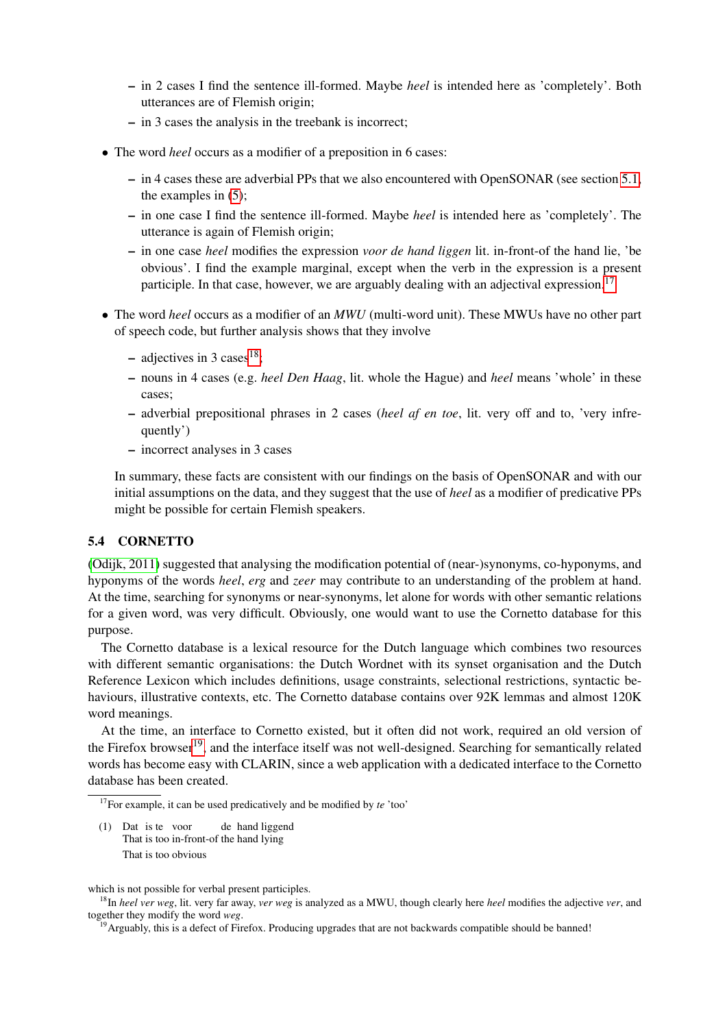- in 2 cases I find the sentence ill-formed. Maybe *heel* is intended here as 'completely'. Both utterances are of Flemish origin;
- in 3 cases the analysis in the treebank is incorrect;
- The word *heel* occurs as a modifier of a preposition in 6 cases:
	- in 4 cases these are adverbial PPs that we also encountered with OpenSONAR (see section [5.1,](#page-3-0) the examples in [\(5\)](#page-4-1);
	- in one case I find the sentence ill-formed. Maybe *heel* is intended here as 'completely'. The utterance is again of Flemish origin;
	- in one case *heel* modifies the expression *voor de hand liggen* lit. in-front-of the hand lie, 'be obvious'. I find the example marginal, except when the verb in the expression is a present participle. In that case, however, we are arguably dealing with an adjectival expression.<sup>[17](#page-6-1)</sup>
- The word *heel* occurs as a modifier of an *MWU* (multi-word unit). These MWUs have no other part of speech code, but further analysis shows that they involve
	- adjectives in 3 cases<sup>[18](#page-6-2)</sup>;
	- nouns in 4 cases (e.g. *heel Den Haag*, lit. whole the Hague) and *heel* means 'whole' in these cases;
	- adverbial prepositional phrases in 2 cases (*heel af en toe*, lit. very off and to, 'very infrequently')
	- incorrect analyses in 3 cases

In summary, these facts are consistent with our findings on the basis of OpenSONAR and with our initial assumptions on the data, and they suggest that the use of *heel* as a modifier of predicative PPs might be possible for certain Flemish speakers.

# <span id="page-6-0"></span>5.4 CORNETTO

[\(Odijk, 2011\)](#page-15-0) suggested that analysing the modification potential of (near-)synonyms, co-hyponyms, and hyponyms of the words *heel*, *erg* and *zeer* may contribute to an understanding of the problem at hand. At the time, searching for synonyms or near-synonyms, let alone for words with other semantic relations for a given word, was very difficult. Obviously, one would want to use the Cornetto database for this purpose.

The Cornetto database is a lexical resource for the Dutch language which combines two resources with different semantic organisations: the Dutch Wordnet with its synset organisation and the Dutch Reference Lexicon which includes definitions, usage constraints, selectional restrictions, syntactic behaviours, illustrative contexts, etc. The Cornetto database contains over 92K lemmas and almost 120K word meanings.

At the time, an interface to Cornetto existed, but it often did not work, required an old version of the Firefox browser<sup>[19](#page-6-3)</sup>, and the interface itself was not well-designed. Searching for semantically related words has become easy with CLARIN, since a web application with a dedicated interface to the Cornetto database has been created.

(1) Dat is te voor That is too in-front-of the hand lying de hand liggend That is too obvious

<span id="page-6-1"></span><sup>17</sup>For example, it can be used predicatively and be modified by *te* 'too'

which is not possible for verbal present participles.

<span id="page-6-2"></span><sup>18</sup>In *heel ver weg*, lit. very far away, *ver weg* is analyzed as a MWU, though clearly here *heel* modifies the adjective *ver*, and together they modify the word *weg*.

<span id="page-6-3"></span><sup>&</sup>lt;sup>19</sup>Arguably, this is a defect of Firefox. Producing upgrades that are not backwards compatible should be banned!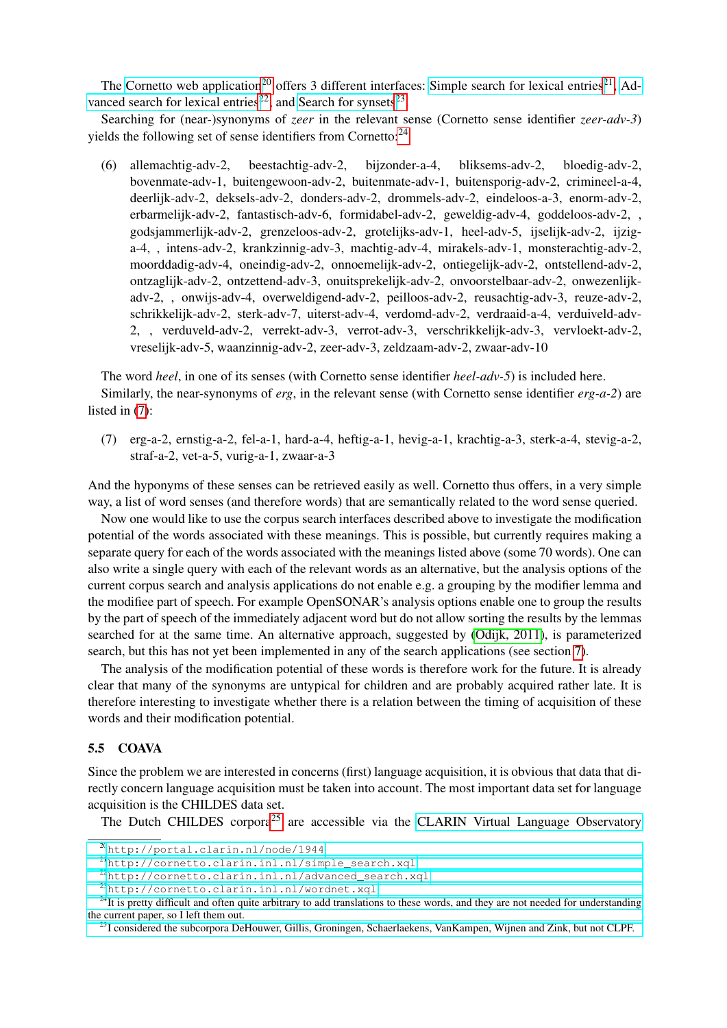The [Cornetto web application](http://portal.clarin.nl/node/1944)<sup>[20](#page-7-1)</sup> offers 3 different interfaces: [Simple search for lexical entries](http://cornetto.clarin.inl.nl/simple_search.xql)<sup>[21](#page-7-2)</sup>, [Ad](http://cornetto.clarin.inl.nl/advanced_search.xql)[vanced search for lexical entries](http://cornetto.clarin.inl.nl/advanced_search.xql)<sup>[22](#page-7-3)</sup>, and [Search for synsets](http://cornetto.clarin.inl.nl/wordnet.xql)<sup>[23](#page-7-4)</sup>.

Searching for (near-)synonyms of *zeer* in the relevant sense (Cornetto sense identifier *zeer-adv-3*) yields the following set of sense identifiers from Cornetto:<sup>[24](#page-7-5)</sup>

(6) allemachtig-adv-2, beestachtig-adv-2, bijzonder-a-4, bliksems-adv-2, bloedig-adv-2, bovenmate-adv-1, buitengewoon-adv-2, buitenmate-adv-1, buitensporig-adv-2, crimineel-a-4, deerlijk-adv-2, deksels-adv-2, donders-adv-2, drommels-adv-2, eindeloos-a-3, enorm-adv-2, erbarmelijk-adv-2, fantastisch-adv-6, formidabel-adv-2, geweldig-adv-4, goddeloos-adv-2, , godsjammerlijk-adv-2, grenzeloos-adv-2, grotelijks-adv-1, heel-adv-5, ijselijk-adv-2, ijziga-4, , intens-adv-2, krankzinnig-adv-3, machtig-adv-4, mirakels-adv-1, monsterachtig-adv-2, moorddadig-adv-4, oneindig-adv-2, onnoemelijk-adv-2, ontiegelijk-adv-2, ontstellend-adv-2, ontzaglijk-adv-2, ontzettend-adv-3, onuitsprekelijk-adv-2, onvoorstelbaar-adv-2, onwezenlijkadv-2, , onwijs-adv-4, overweldigend-adv-2, peilloos-adv-2, reusachtig-adv-3, reuze-adv-2, schrikkelijk-adv-2, sterk-adv-7, uiterst-adv-4, verdomd-adv-2, verdraaid-a-4, verduiveld-adv-2, , verduveld-adv-2, verrekt-adv-3, verrot-adv-3, verschrikkelijk-adv-3, vervloekt-adv-2, vreselijk-adv-5, waanzinnig-adv-2, zeer-adv-3, zeldzaam-adv-2, zwaar-adv-10

The word *heel*, in one of its senses (with Cornetto sense identifier *heel-adv-5*) is included here.

Similarly, the near-synonyms of *erg*, in the relevant sense (with Cornetto sense identifier *erg-a-2*) are listed in [\(7\)](#page-7-6):

<span id="page-7-6"></span>(7) erg-a-2, ernstig-a-2, fel-a-1, hard-a-4, heftig-a-1, hevig-a-1, krachtig-a-3, sterk-a-4, stevig-a-2, straf-a-2, vet-a-5, vurig-a-1, zwaar-a-3

And the hyponyms of these senses can be retrieved easily as well. Cornetto thus offers, in a very simple way, a list of word senses (and therefore words) that are semantically related to the word sense queried.

Now one would like to use the corpus search interfaces described above to investigate the modification potential of the words associated with these meanings. This is possible, but currently requires making a separate query for each of the words associated with the meanings listed above (some 70 words). One can also write a single query with each of the relevant words as an alternative, but the analysis options of the current corpus search and analysis applications do not enable e.g. a grouping by the modifier lemma and the modifiee part of speech. For example OpenSONAR's analysis options enable one to group the results by the part of speech of the immediately adjacent word but do not allow sorting the results by the lemmas searched for at the same time. An alternative approach, suggested by [\(Odijk, 2011\)](#page-15-0), is parameterized search, but this has not yet been implemented in any of the search applications (see section [7\)](#page-13-1).

The analysis of the modification potential of these words is therefore work for the future. It is already clear that many of the synonyms are untypical for children and are probably acquired rather late. It is therefore interesting to investigate whether there is a relation between the timing of acquisition of these words and their modification potential.

## <span id="page-7-0"></span>5.5 COAVA

Since the problem we are interested in concerns (first) language acquisition, it is obvious that data that directly concern language acquisition must be taken into account. The most important data set for language acquisition is the CHILDES data set.

The Dutch CHILDES corpora<sup>[25](#page-7-7)</sup> are accessible via the [CLARIN Virtual Language Observatory](http://catalog.clarin.eu/vlo/search?fq=languageCode:code:nld&fq=collection:TalkBank)

<span id="page-7-1"></span><sup>20</sup>[http://portal.clarin.nl/node/1944](http://catalog.clarin.eu/vlo/search?fq=languageCode:code:nld&fq=collection:TalkBank)

<span id="page-7-2"></span><sup>21</sup>[http://cornetto.clarin.inl.nl/simple\\_search.xql](http://catalog.clarin.eu/vlo/search?fq=languageCode:code:nld&fq=collection:TalkBank)

<span id="page-7-3"></span><sup>22</sup>[http://cornetto.clarin.inl.nl/advanced\\_search.xql](http://catalog.clarin.eu/vlo/search?fq=languageCode:code:nld&fq=collection:TalkBank)

<span id="page-7-5"></span><span id="page-7-4"></span><sup>23</sup>[http://cornetto.clarin.inl.nl/wordnet.xql](http://catalog.clarin.eu/vlo/search?fq=languageCode:code:nld&fq=collection:TalkBank)

<sup>&</sup>lt;sup>24</sup>[It is pretty difficult and often quite arbitrary to add translations to these words, and they are not needed for understanding](http://catalog.clarin.eu/vlo/search?fq=languageCode:code:nld&fq=collection:TalkBank) [the current paper, so I left them out.](http://catalog.clarin.eu/vlo/search?fq=languageCode:code:nld&fq=collection:TalkBank)

<span id="page-7-7"></span><sup>&</sup>lt;sup>25</sup>[I considered the subcorpora DeHouwer, Gillis, Groningen, Schaerlaekens, VanKampen, Wijnen and Zink, but not CLPF.](http://catalog.clarin.eu/vlo/search?fq=languageCode:code:nld&fq=collection:TalkBank)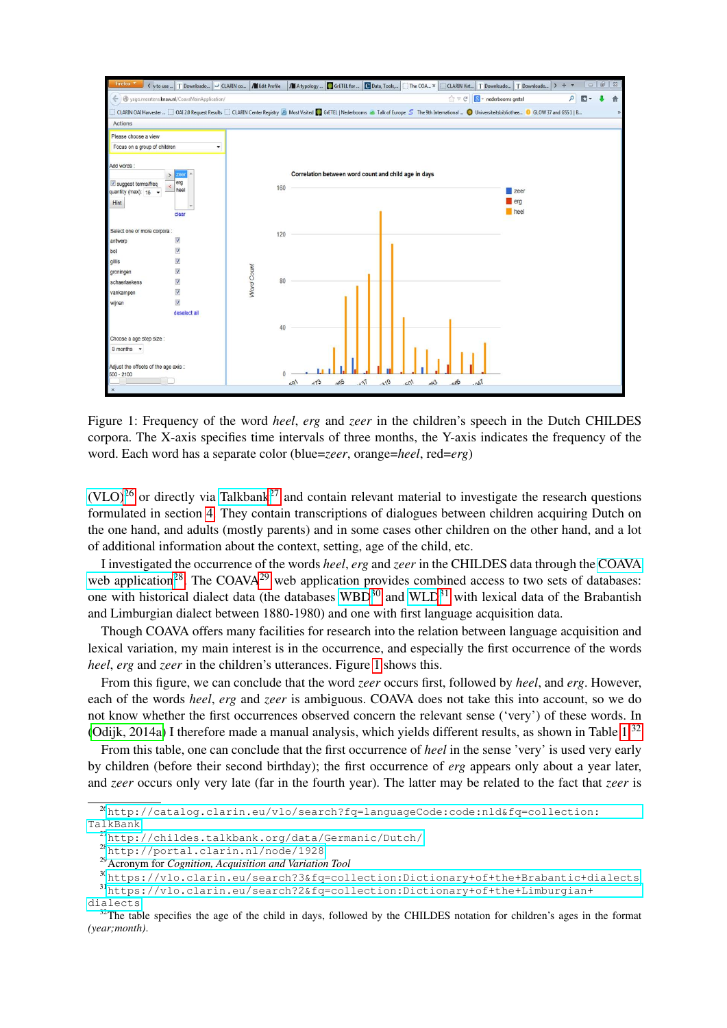

<span id="page-8-6"></span>Figure 1: Frequency of the word *heel*, *erg* and *zeer* in the children's speech in the Dutch CHILDES corpora. The X-axis specifies time intervals of three months, the Y-axis indicates the frequency of the word. Each word has a separate color (blue=*zeer*, orange=*heel*, red=*erg*)

 $(VLO)^{26}$  $(VLO)^{26}$  $(VLO)^{26}$  $(VLO)^{26}$  or directly via [Talkbank](http://childes.talkbank.org/data/Germanic/Dutch/)<sup>[27](#page-8-1)</sup> and contain relevant material to investigate the research questions formulated in section [4.](#page-2-0) They contain transcriptions of dialogues between children acquiring Dutch on the one hand, and adults (mostly parents) and in some cases other children on the other hand, and a lot of additional information about the context, setting, age of the child, etc.

I investigated the occurrence of the words *heel*, *erg* and *zeer* in the CHILDES data through the [COAVA](http://portal.clarin.nl/node/1928) [web application](http://portal.clarin.nl/node/1928)<sup>[28](#page-8-2)</sup>. The COAVA<sup>[29](#page-8-3)</sup> web application provides combined access to two sets of databases: one with historical dialect data (the databases  $WBD^{30}$  $WBD^{30}$  $WBD^{30}$  and  $WLD^{31}$  $WLD^{31}$  $WLD^{31}$  with lexical data of the Brabantish and Limburgian dialect between 1880-1980) and one with first language acquisition data.

Though COAVA offers many facilities for research into the relation between language acquisition and lexical variation, my main interest is in the occurrence, and especially the first occurrence of the words *heel, erg* and *zeer* in the children's utterances. Figure [1](#page-8-6) shows this.

From this figure, we can conclude that the word *zeer* occurs first, followed by *heel*, and *erg*. However, each of the words *heel*, *erg* and *zeer* is ambiguous. COAVA does not take this into account, so we do not know whether the first occurrences observed concern the relevant sense ('very') of these words. In [\(Odijk, 2014a\)](#page-15-1) I therefore made a manual analysis, which yields different results, as shown in Table  $1<sup>32</sup>$  $1<sup>32</sup>$  $1<sup>32</sup>$ 

From this table, one can conclude that the first occurrence of *heel* in the sense 'very' is used very early by children (before their second birthday); the first occurrence of *erg* appears only about a year later, and *zeer* occurs only very late (far in the fourth year). The latter may be related to the fact that *zeer* is

<span id="page-8-0"></span><sup>26</sup>[http://catalog.clarin.eu/vlo/search?fq=languageCode:code:nld&fq=collection:](http://catalog.clarin.eu/vlo/search?fq=languageCode:code:nld&fq=collection:TalkBank)

[TalkBank](http://catalog.clarin.eu/vlo/search?fq=languageCode:code:nld&fq=collection:TalkBank)

<span id="page-8-1"></span><sup>27</sup><http://childes.talkbank.org/data/Germanic/Dutch/>

<span id="page-8-2"></span><sup>28</sup><http://portal.clarin.nl/node/1928>

<span id="page-8-4"></span><span id="page-8-3"></span><sup>29</sup>Acronym for *Cognition, Acquisition and Variation Tool*

<span id="page-8-5"></span><sup>30</sup><https://vlo.clarin.eu/search?3&fq=collection:Dictionary+of+the+Brabantic+dialects> <sup>31</sup>[https://vlo.clarin.eu/search?2&fq=collection:Dictionary+of+the+Limburgian+](https://vlo.clarin.eu/search?2&fq=collection:Dictionary+of+the+Limburgian+dialects) [dialects](https://vlo.clarin.eu/search?2&fq=collection:Dictionary+of+the+Limburgian+dialects)

<span id="page-8-7"></span> $32$ The table specifies the age of the child in days, followed by the CHILDES notation for children's ages in the format *(year;month)*.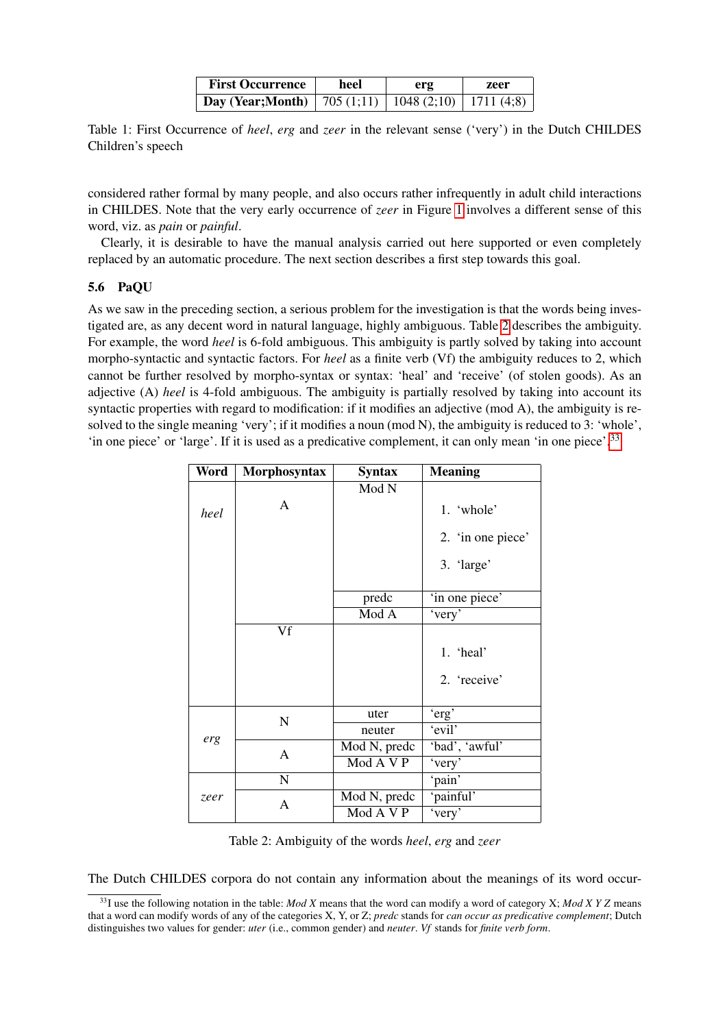| <b>First Occurrence</b>                                         | heel | erg | zeer |  |
|-----------------------------------------------------------------|------|-----|------|--|
| <b>Day (Year;Month)</b>   705 (1;11)   1048 (2;10)   1711 (4;8) |      |     |      |  |

<span id="page-9-1"></span>Table 1: First Occurrence of *heel*, *erg* and *zeer* in the relevant sense ('very') in the Dutch CHILDES Children's speech

considered rather formal by many people, and also occurs rather infrequently in adult child interactions in CHILDES. Note that the very early occurrence of *zeer* in Figure [1](#page-8-6) involves a different sense of this word, viz. as *pain* or *painful*.

Clearly, it is desirable to have the manual analysis carried out here supported or even completely replaced by an automatic procedure. The next section describes a first step towards this goal.

## <span id="page-9-0"></span>5.6 PaQU

As we saw in the preceding section, a serious problem for the investigation is that the words being investigated are, as any decent word in natural language, highly ambiguous. Table [2](#page-9-2) describes the ambiguity. For example, the word *heel* is 6-fold ambiguous. This ambiguity is partly solved by taking into account morpho-syntactic and syntactic factors. For *heel* as a finite verb (Vf) the ambiguity reduces to 2, which cannot be further resolved by morpho-syntax or syntax: 'heal' and 'receive' (of stolen goods). As an adjective (A) *heel* is 4-fold ambiguous. The ambiguity is partially resolved by taking into account its syntactic properties with regard to modification: if it modifies an adjective (mod A), the ambiguity is resolved to the single meaning 'very'; if it modifies a noun (mod N), the ambiguity is reduced to 3: 'whole', 'in one piece' or 'large'. If it is used as a predicative complement, it can only mean 'in one piece'.[33](#page-9-3)

| Word | Morphosyntax | <b>Syntax</b> | <b>Meaning</b>    |
|------|--------------|---------------|-------------------|
|      |              | Mod N         |                   |
| heel | A            |               | 1. 'whole'        |
|      |              |               | 2. 'in one piece' |
|      |              |               | 3. 'large'        |
|      |              | predc         | 'in one piece'    |
|      |              | Mod A         | 'very'            |
|      | Vf           |               |                   |
|      |              |               | 1. 'heal'         |
|      |              |               | 2. 'receive'      |
| erg  | $\mathbf N$  | uter          | 'erg'             |
|      |              | neuter        | 'evil'            |
|      | A            | Mod N, predc  | 'bad', 'awful'    |
|      |              | Mod A V P     | 'very'            |
|      | ${\bf N}$    |               | 'pain'            |
| zeer | A            | Mod N, predc  | 'painful'         |
|      |              | Mod A V P     | 'very'            |

<span id="page-9-2"></span>Table 2: Ambiguity of the words *heel*, *erg* and *zeer*

The Dutch CHILDES corpora do not contain any information about the meanings of its word occur-

<span id="page-9-3"></span><sup>33</sup>I use the following notation in the table: *Mod X* means that the word can modify a word of category X; *Mod X Y Z* means that a word can modify words of any of the categories X, Y, or Z; *predc* stands for *can occur as predicative complement*; Dutch distinguishes two values for gender: *uter* (i.e., common gender) and *neuter*. *Vf* stands for *finite verb form*.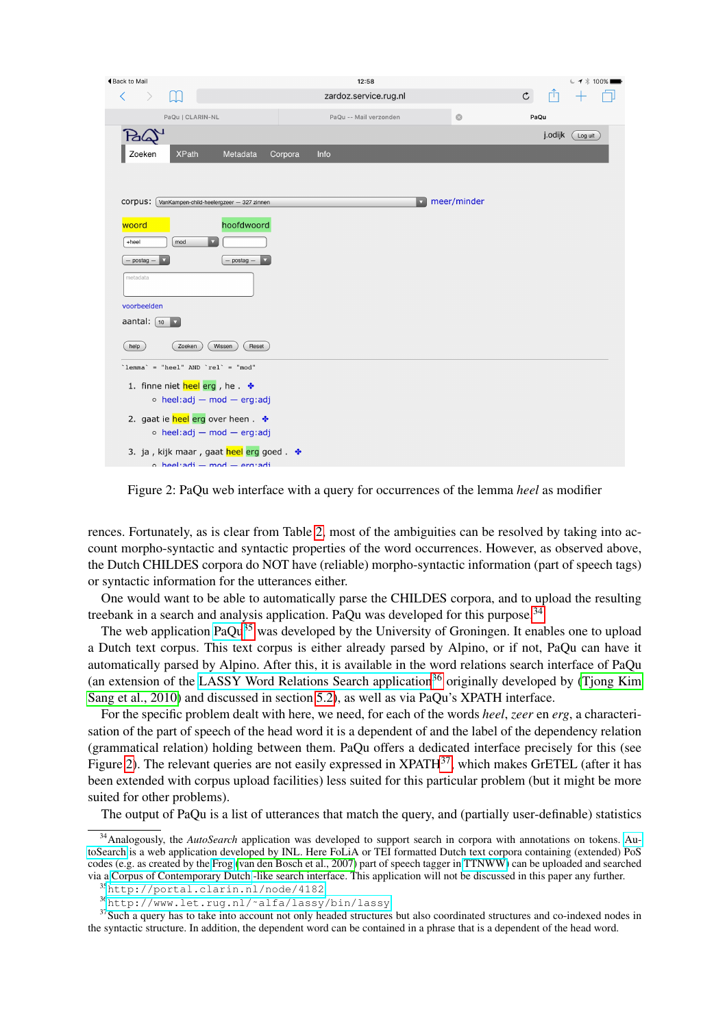| <b>◀Back to Mail</b>                                                        | 12:58                   |                | $C \rightarrow 100\%$ |
|-----------------------------------------------------------------------------|-------------------------|----------------|-----------------------|
| $\overline{\left\langle \right\rangle }$                                    | zardoz.service.rug.nl   | $\mathfrak{C}$ | гη                    |
| PaQu   CLARIN-NL                                                            | PaQu -- Mail verzonden  | $\odot$        | PaQu                  |
|                                                                             |                         |                | j.odijk<br>Log uit    |
| <b>XPath</b><br>Metadata<br>Zoeken                                          | Corpora<br>Info         |                |                       |
|                                                                             |                         |                |                       |
|                                                                             |                         |                |                       |
| corpus:<br>VanKampen-child-heelergzeer - 327 zinnen                         | $\overline{\mathbf{v}}$ | meer/minder    |                       |
| hoofdwoord<br>woord                                                         |                         |                |                       |
| $\boldsymbol{\nabla}$<br>+heel<br>mod                                       |                         |                |                       |
| $-$ postag.<br>- postag -                                                   |                         |                |                       |
| metadata                                                                    |                         |                |                       |
| voorbeelden                                                                 |                         |                |                       |
| aantal: $\int$ 10<br>$\overline{\mathbf{v}}$                                |                         |                |                       |
|                                                                             |                         |                |                       |
| help<br>Zoeken<br>Wissen<br>Reset                                           |                         |                |                       |
| $\text{'lemma}$ = "heel" AND $\text{`rel}$ = "mod"                          |                         |                |                       |
| 1. finne niet heel erg, he. *                                               |                         |                |                       |
| $\circ$ heel:adj - mod - erg:adj                                            |                         |                |                       |
| 2. gaat ie heel erg over heen. *<br>$\circ$ heel:adj - mod - erg:adj        |                         |                |                       |
|                                                                             |                         |                |                       |
| 3. ja, kijk maar, gaat heel erg goed. *<br>$o$ heel adj $=$ mod $=$ erg adj |                         |                |                       |

<span id="page-10-3"></span>Figure 2: PaQu web interface with a query for occurrences of the lemma *heel* as modifier

rences. Fortunately, as is clear from Table [2,](#page-9-2) most of the ambiguities can be resolved by taking into account morpho-syntactic and syntactic properties of the word occurrences. However, as observed above, the Dutch CHILDES corpora do NOT have (reliable) morpho-syntactic information (part of speech tags) or syntactic information for the utterances either.

One would want to be able to automatically parse the CHILDES corpora, and to upload the resulting treebank in a search and analysis application. PaQu was developed for this purpose.<sup>[34](#page-10-0)</sup>

The web application [PaQu](http://portal.clarin.nl/node/4182)<sup>[35](#page-10-1)</sup> was developed by the University of Groningen. It enables one to upload a Dutch text corpus. This text corpus is either already parsed by Alpino, or if not, PaQu can have it automatically parsed by Alpino. After this, it is available in the word relations search interface of PaQu (an extension of the [LASSY Word Relations Search application](http://www.let.rug.nl/~alfa/lassy/bin/lassy)<sup>[36](#page-10-2)</sup> originally developed by (Tiong Kim [Sang et al., 2010\)](#page-15-6) and discussed in section [5.2\)](#page-4-0), as well as via PaQu's XPATH interface.

For the specific problem dealt with here, we need, for each of the words *heel*, *zeer* en *erg*, a characterisation of the part of speech of the head word it is a dependent of and the label of the dependency relation (grammatical relation) holding between them. PaQu offers a dedicated interface precisely for this (see Figure [2\)](#page-10-3). The relevant queries are not easily expressed in XPATH<sup>[37](#page-10-4)</sup>, which makes GrETEL (after it has been extended with corpus upload facilities) less suited for this particular problem (but it might be more suited for other problems).

The output of PaQu is a list of utterances that match the query, and (partially user-definable) statistics

<span id="page-10-0"></span><sup>&</sup>lt;sup>34</sup> Analogously, the *AutoSearch* application was developed to support search in corpora with annotations on tokens. [Au](http://portal.clarin.nl/node/4222)[toSearch](http://portal.clarin.nl/node/4222) is a web application developed by INL. Here FoLiA or TEI formatted Dutch text corpora containing (extended) PoS codes (e.g. as created by the [Frog](http://ilk.uvt.nl/frog/) [\(van den Bosch et al., 2007\)](#page-15-11) part of speech tagger in [TTNWW\)](http://portal.clarin.nl/node/1964) can be uploaded and searched via a [Corpus of Contemporary Dutch](http://corpushedendaagsnederlands.inl.nl/) -like search interface. This application will not be discussed in this paper any further.

<span id="page-10-1"></span><sup>35</sup><http://portal.clarin.nl/node/4182>

<span id="page-10-4"></span><span id="page-10-2"></span><sup>36</sup>[http://www.let.rug.nl/˜alfa/lassy/bin/lassy](http://www.let.rug.nl/~alfa/lassy/bin/lassy)

<sup>&</sup>lt;sup>37</sup>Such a query has to take into account not only headed structures but also coordinated structures and co-indexed nodes in the syntactic structure. In addition, the dependent word can be contained in a phrase that is a dependent of the head word.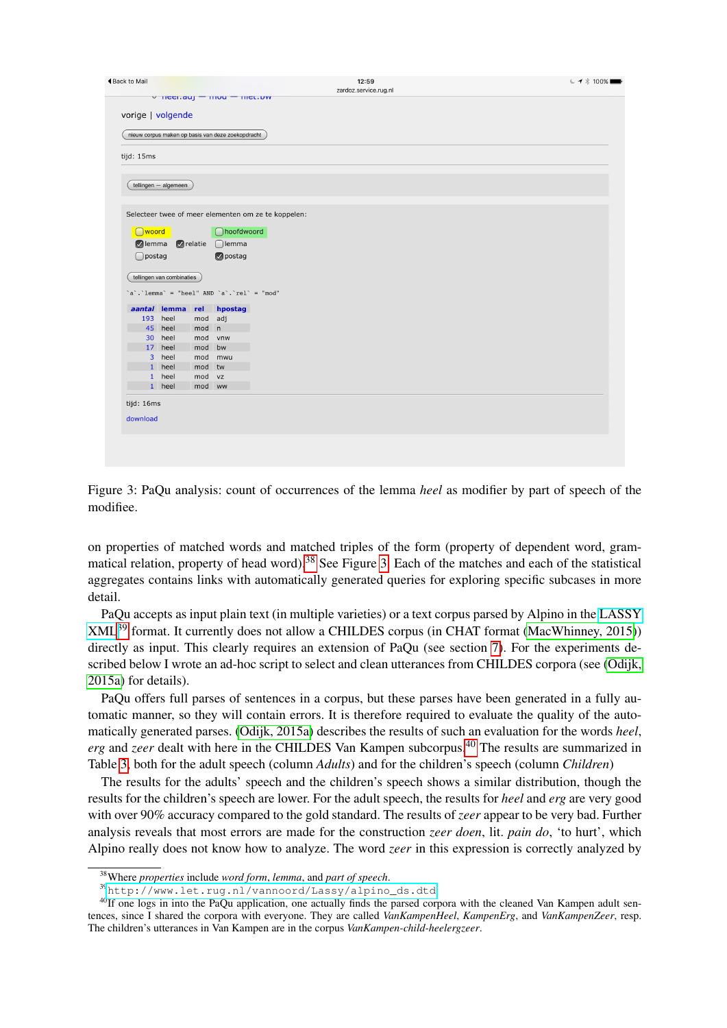| <b>◀Back to Mail</b>                              |                           |            | v neenauj - mou - mettow                    | $C \rightarrow 100\%$<br>12:59<br>zardoz.service.rug.nl |  |  |  |  |
|---------------------------------------------------|---------------------------|------------|---------------------------------------------|---------------------------------------------------------|--|--|--|--|
| vorige   volgende                                 |                           |            |                                             |                                                         |  |  |  |  |
| nieuw corpus maken op basis van deze zoekopdracht |                           |            |                                             |                                                         |  |  |  |  |
| tijd: 15ms                                        |                           |            |                                             |                                                         |  |  |  |  |
|                                                   | tellingen - algemeen      |            |                                             |                                                         |  |  |  |  |
|                                                   |                           |            |                                             |                                                         |  |  |  |  |
|                                                   |                           |            |                                             | Selecteer twee of meer elementen om ze te koppelen:     |  |  |  |  |
| woord                                             |                           |            | noofdwoord                                  |                                                         |  |  |  |  |
| $\bigcap$ postag                                  | elemma electie            |            | $\bigcap$ lemma<br>opostag                  |                                                         |  |  |  |  |
|                                                   |                           |            |                                             |                                                         |  |  |  |  |
|                                                   | tellingen van combinaties |            |                                             |                                                         |  |  |  |  |
|                                                   |                           |            | $a$ .'lemma' = "heel" AND 'a'.'rel' = "mod" |                                                         |  |  |  |  |
|                                                   | aantal lemma rel          |            | hpostag                                     |                                                         |  |  |  |  |
| 193                                               | heel                      | mod        | adj                                         |                                                         |  |  |  |  |
|                                                   | 45 heel                   | mod        | $\mathsf{n}$                                |                                                         |  |  |  |  |
| 30 <sup>2</sup>                                   | heel                      | mod        | vnw                                         |                                                         |  |  |  |  |
|                                                   | 17 heel<br>3 heel         | mod        | bw                                          |                                                         |  |  |  |  |
|                                                   | 1 heel                    | mod<br>mod | mwu<br>tw                                   |                                                         |  |  |  |  |
|                                                   | 1 heel                    | mod        | <b>VZ</b>                                   |                                                         |  |  |  |  |
|                                                   | 1 heel                    | mod ww     |                                             |                                                         |  |  |  |  |
| tijd: 16ms<br>download                            |                           |            |                                             |                                                         |  |  |  |  |

<span id="page-11-1"></span>Figure 3: PaQu analysis: count of occurrences of the lemma *heel* as modifier by part of speech of the modifiee.

on properties of matched words and matched triples of the form (property of dependent word, gram-matical relation, property of head word).<sup>[38](#page-11-0)</sup> See Figure [3.](#page-11-1) Each of the matches and each of the statistical aggregates contains links with automatically generated queries for exploring specific subcases in more detail.

PaQu accepts as input plain text (in multiple varieties) or a text corpus parsed by Alpino in the [LASSY](http://www.let.rug.nl/vannoord/Lassy/alpino_ds.dtd) [XML](http://www.let.rug.nl/vannoord/Lassy/alpino_ds.dtd)[39](#page-11-2) format. It currently does not allow a CHILDES corpus (in CHAT format [\(MacWhinney, 2015\)](#page-15-12)) directly as input. This clearly requires an extension of PaQu (see section [7\)](#page-13-1). For the experiments described below I wrote an ad-hoc script to select and clean utterances from CHILDES corpora (see [\(Odijk,](#page-15-2) [2015a\)](#page-15-2) for details).

PaQu offers full parses of sentences in a corpus, but these parses have been generated in a fully automatic manner, so they will contain errors. It is therefore required to evaluate the quality of the automatically generated parses. [\(Odijk, 2015a\)](#page-15-2) describes the results of such an evaluation for the words *heel*, *erg* and *zeer* dealt with here in the CHILDES Van Kampen subcorpus.<sup>[40](#page-11-3)</sup> The results are summarized in Table [3,](#page-12-0) both for the adult speech (column *Adults*) and for the children's speech (column *Children*)

The results for the adults' speech and the children's speech shows a similar distribution, though the results for the children's speech are lower. For the adult speech, the results for *heel* and *erg* are very good with over 90% accuracy compared to the gold standard. The results of *zeer* appear to be very bad. Further analysis reveals that most errors are made for the construction *zeer doen*, lit. *pain do*, 'to hurt', which Alpino really does not know how to analyze. The word *zeer* in this expression is correctly analyzed by

<span id="page-11-0"></span><sup>38</sup>Where *properties* include *word form*, *lemma*, and *part of speech*.

<span id="page-11-3"></span><span id="page-11-2"></span><sup>39</sup>[http://www.let.rug.nl/vannoord/Lassy/alpino\\_ds.dtd](http://www.let.rug.nl/vannoord/Lassy/alpino_ds.dtd)

<sup>&</sup>lt;sup>40</sup>If one logs in into the PaQu application, one actually finds the parsed corpora with the cleaned Van Kampen adult sentences, since I shared the corpora with everyone. They are called *VanKampenHeel*, *KampenErg*, and *VanKampenZeer*, resp. The children's utterances in Van Kampen are in the corpus *VanKampen-child-heelergzeer*.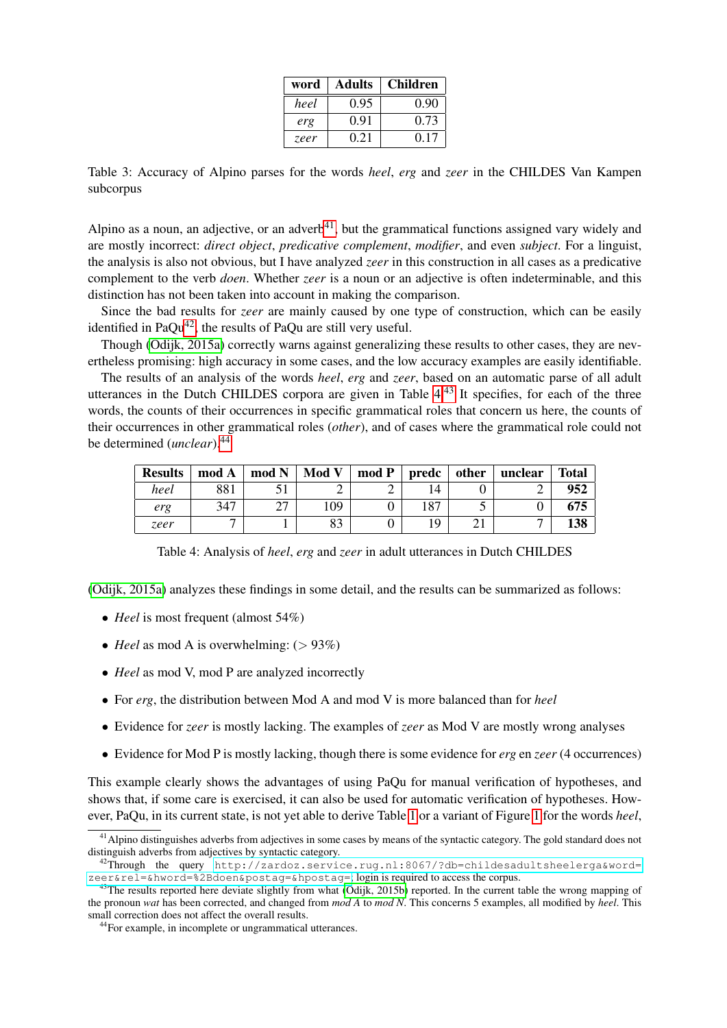| word | <b>Adults</b> | <b>Children</b> |
|------|---------------|-----------------|
| heel | 0.95          | 0.90            |
| erg  | 0.91          | 0.73            |
| zeer | 0.21          | 0.17            |

<span id="page-12-0"></span>Table 3: Accuracy of Alpino parses for the words *heel*, *erg* and *zeer* in the CHILDES Van Kampen subcorpus

Alpino as a noun, an adjective, or an adverb<sup>[41](#page-12-1)</sup>, but the grammatical functions assigned vary widely and are mostly incorrect: *direct object*, *predicative complement*, *modifier*, and even *subject*. For a linguist, the analysis is also not obvious, but I have analyzed *zeer* in this construction in all cases as a predicative complement to the verb *doen*. Whether *zeer* is a noun or an adjective is often indeterminable, and this distinction has not been taken into account in making the comparison.

Since the bad results for *zeer* are mainly caused by one type of construction, which can be easily identified in Pa $Qu^{42}$  $Qu^{42}$  $Qu^{42}$ , the results of PaQu are still very useful.

Though [\(Odijk, 2015a\)](#page-15-2) correctly warns against generalizing these results to other cases, they are nevertheless promising: high accuracy in some cases, and the low accuracy examples are easily identifiable.

The results of an analysis of the words *heel*, *erg* and *zeer*, based on an automatic parse of all adult utterances in the Dutch CHILDES corpora are given in Table [4.](#page-12-3)[43](#page-12-4) It specifies, for each of the three words, the counts of their occurrences in specific grammatical roles that concern us here, the counts of their occurrences in other grammatical roles (*other*), and of cases where the grammatical role could not be determined (*unclear*).[44](#page-12-5)

| <b>Results</b> | mod A | mod N  | Mod V | mod P | predc | other | unclear | <b>Total</b> |
|----------------|-------|--------|-------|-------|-------|-------|---------|--------------|
| heel           | 881   |        |       | ∸     |       |       |         | 952          |
| erg            | 347   | $\sim$ | 109   |       | 187   | ັ     |         | 675          |
| zeer           |       |        | 83    |       |       |       |         | 138          |

<span id="page-12-3"></span>Table 4: Analysis of *heel*, *erg* and *zeer* in adult utterances in Dutch CHILDES

[\(Odijk, 2015a\)](#page-15-2) analyzes these findings in some detail, and the results can be summarized as follows:

- *Heel* is most frequent (almost 54%)
- *Heel* as mod A is overwhelming:  $(> 93\%)$
- *Heel* as mod V, mod P are analyzed incorrectly
- For *erg*, the distribution between Mod A and mod V is more balanced than for *heel*
- Evidence for *zeer* is mostly lacking. The examples of *zeer* as Mod V are mostly wrong analyses
- Evidence for Mod P is mostly lacking, though there is some evidence for *erg* en *zeer* (4 occurrences)

This example clearly shows the advantages of using PaQu for manual verification of hypotheses, and shows that, if some care is exercised, it can also be used for automatic verification of hypotheses. However, PaQu, in its current state, is not yet able to derive Table [1](#page-9-1) or a variant of Figure [1](#page-8-6) for the words *heel*,

<span id="page-12-1"></span><sup>&</sup>lt;sup>41</sup> Alpino distinguishes adverbs from adjectives in some cases by means of the syntactic category. The gold standard does not distinguish adverbs from adjectives by syntactic category.

<span id="page-12-2"></span><sup>42</sup>Through the query [http://zardoz.service.rug.nl:8067/?db=childesadultsheelerga&word=](http://zardoz.service.rug.nl:8067/?db=childesadultsheelerga&word=zeer&rel=&hword=%2Bdoen&postag=&hpostag=)  $z$ eer&rel=&hword=%2Bdoen&postag=&hpostag=; login is required to access the corpus.

<span id="page-12-4"></span><sup>&</sup>lt;sup>43</sup>The results reported here deviate slightly from what [\(Odijk, 2015b\)](#page-15-13) reported. In the current table the wrong mapping of the pronoun *wat* has been corrected, and changed from *mod A* to *mod N*. This concerns 5 examples, all modified by *heel*. This small correction does not affect the overall results.

<span id="page-12-5"></span><sup>44</sup>For example, in incomplete or ungrammatical utterances.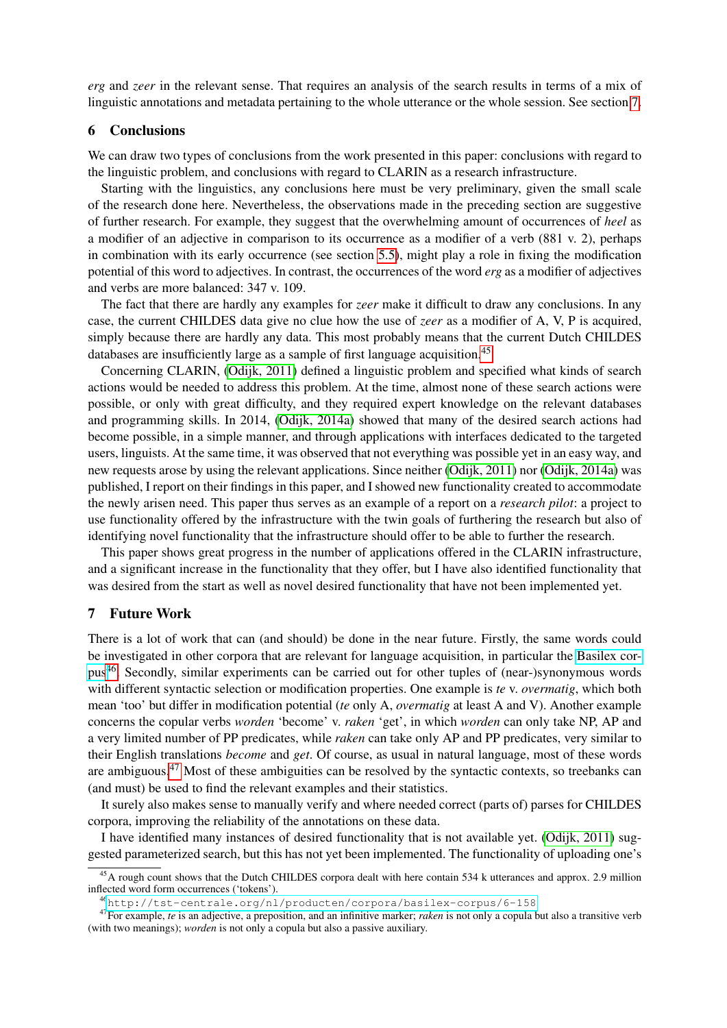*erg* and *zeer* in the relevant sense. That requires an analysis of the search results in terms of a mix of linguistic annotations and metadata pertaining to the whole utterance or the whole session. See section [7.](#page-13-1)

## <span id="page-13-0"></span>6 Conclusions

We can draw two types of conclusions from the work presented in this paper: conclusions with regard to the linguistic problem, and conclusions with regard to CLARIN as a research infrastructure.

Starting with the linguistics, any conclusions here must be very preliminary, given the small scale of the research done here. Nevertheless, the observations made in the preceding section are suggestive of further research. For example, they suggest that the overwhelming amount of occurrences of *heel* as a modifier of an adjective in comparison to its occurrence as a modifier of a verb (881 v. 2), perhaps in combination with its early occurrence (see section [5.5\)](#page-7-0), might play a role in fixing the modification potential of this word to adjectives. In contrast, the occurrences of the word *erg* as a modifier of adjectives and verbs are more balanced: 347 v. 109.

The fact that there are hardly any examples for *zeer* make it difficult to draw any conclusions. In any case, the current CHILDES data give no clue how the use of *zeer* as a modifier of A, V, P is acquired, simply because there are hardly any data. This most probably means that the current Dutch CHILDES databases are insufficiently large as a sample of first language acquisition.<sup>[45](#page-13-2)</sup>

Concerning CLARIN, [\(Odijk, 2011\)](#page-15-0) defined a linguistic problem and specified what kinds of search actions would be needed to address this problem. At the time, almost none of these search actions were possible, or only with great difficulty, and they required expert knowledge on the relevant databases and programming skills. In 2014, [\(Odijk, 2014a\)](#page-15-1) showed that many of the desired search actions had become possible, in a simple manner, and through applications with interfaces dedicated to the targeted users, linguists. At the same time, it was observed that not everything was possible yet in an easy way, and new requests arose by using the relevant applications. Since neither [\(Odijk, 2011\)](#page-15-0) nor [\(Odijk, 2014a\)](#page-15-1) was published, I report on their findings in this paper, and I showed new functionality created to accommodate the newly arisen need. This paper thus serves as an example of a report on a *research pilot*: a project to use functionality offered by the infrastructure with the twin goals of furthering the research but also of identifying novel functionality that the infrastructure should offer to be able to further the research.

This paper shows great progress in the number of applications offered in the CLARIN infrastructure, and a significant increase in the functionality that they offer, but I have also identified functionality that was desired from the start as well as novel desired functionality that have not been implemented yet.

#### <span id="page-13-1"></span>7 Future Work

There is a lot of work that can (and should) be done in the near future. Firstly, the same words could be investigated in other corpora that are relevant for language acquisition, in particular the [Basilex cor](http://tst-centrale.org/nl/producten/corpora/basilex-corpus/6-158)[pus](http://tst-centrale.org/nl/producten/corpora/basilex-corpus/6-158)[46](#page-13-3). Secondly, similar experiments can be carried out for other tuples of (near-)synonymous words with different syntactic selection or modification properties. One example is *te* v. *overmatig*, which both mean 'too' but differ in modification potential (*te* only A, *overmatig* at least A and V). Another example concerns the copular verbs *worden* 'become' v. *raken* 'get', in which *worden* can only take NP, AP and a very limited number of PP predicates, while *raken* can take only AP and PP predicates, very similar to their English translations *become* and *get*. Of course, as usual in natural language, most of these words are ambiguous.[47](#page-13-4) Most of these ambiguities can be resolved by the syntactic contexts, so treebanks can (and must) be used to find the relevant examples and their statistics.

It surely also makes sense to manually verify and where needed correct (parts of) parses for CHILDES corpora, improving the reliability of the annotations on these data.

I have identified many instances of desired functionality that is not available yet. [\(Odijk, 2011\)](#page-15-0) suggested parameterized search, but this has not yet been implemented. The functionality of uploading one's

<span id="page-13-2"></span><sup>&</sup>lt;sup>45</sup>A rough count shows that the Dutch CHILDES corpora dealt with here contain 534 k utterances and approx. 2.9 million inflected word form occurrences ('tokens').

<span id="page-13-4"></span><span id="page-13-3"></span><sup>46</sup><http://tst-centrale.org/nl/producten/corpora/basilex-corpus/6-158>

<sup>47</sup>For example, *te* is an adjective, a preposition, and an infinitive marker; *raken* is not only a copula but also a transitive verb (with two meanings); *worden* is not only a copula but also a passive auxiliary.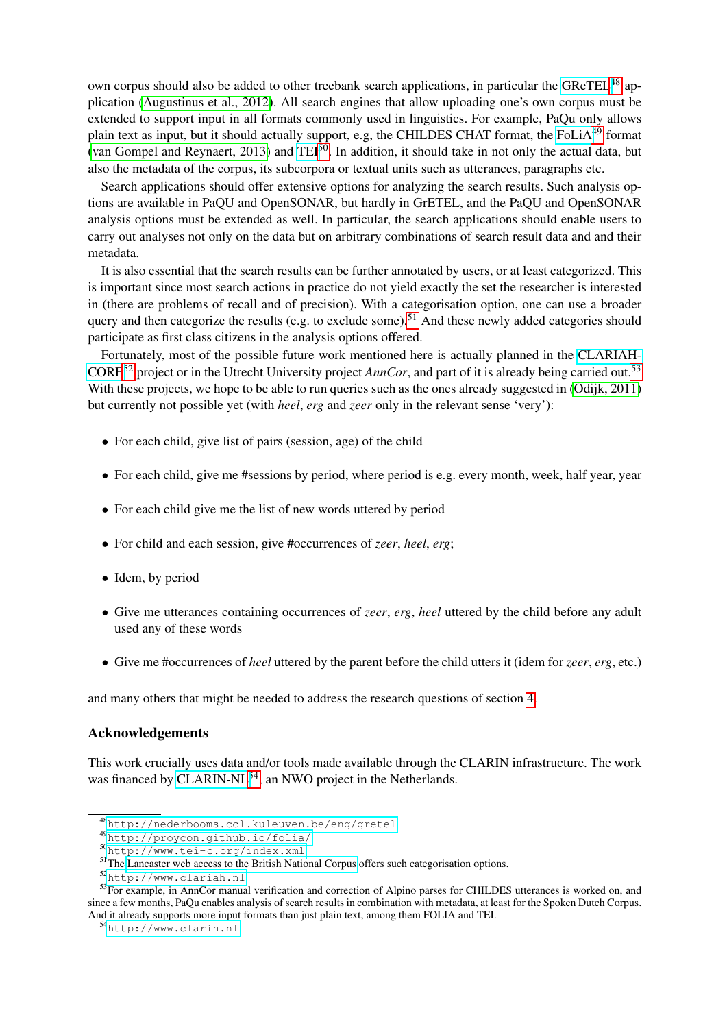own corpus should also be added to other treebank search applications, in particular the [GReTEL](http://nederbooms.ccl.kuleuven.be/eng/gretel)<sup>[48](#page-14-0)</sup> application [\(Augustinus et al., 2012\)](#page-15-9). All search engines that allow uploading one's own corpus must be extended to support input in all formats commonly used in linguistics. For example, PaQu only allows plain text as input, but it should actually support, e.g, the CHILDES CHAT format, the [FoLiA](http://proycon.github.io/folia/)<sup>[49](#page-14-1)</sup> format [\(van Gompel and Reynaert, 2013\)](#page-15-14) and [TEI](http://www.tei-c.org/index.xml)<sup>[50](#page-14-2)</sup>. In addition, it should take in not only the actual data, but also the metadata of the corpus, its subcorpora or textual units such as utterances, paragraphs etc.

Search applications should offer extensive options for analyzing the search results. Such analysis options are available in PaQU and OpenSONAR, but hardly in GrETEL, and the PaQU and OpenSONAR analysis options must be extended as well. In particular, the search applications should enable users to carry out analyses not only on the data but on arbitrary combinations of search result data and and their metadata.

It is also essential that the search results can be further annotated by users, or at least categorized. This is important since most search actions in practice do not yield exactly the set the researcher is interested in (there are problems of recall and of precision). With a categorisation option, one can use a broader query and then categorize the results (e.g. to exclude some).<sup>[51](#page-14-3)</sup> And these newly added categories should participate as first class citizens in the analysis options offered.

Fortunately, most of the possible future work mentioned here is actually planned in the [CLARIAH-](http://www.clariah.nl)[CORE](http://www.clariah.nl)[52](#page-14-4) project or in the Utrecht University project *AnnCor*, and part of it is already being carried out.[53](#page-14-5) With these projects, we hope to be able to run queries such as the ones already suggested in [\(Odijk, 2011\)](#page-15-0) but currently not possible yet (with *heel*, *erg* and *zeer* only in the relevant sense 'very'):

- For each child, give list of pairs (session, age) of the child
- For each child, give me #sessions by period, where period is e.g. every month, week, half year, year
- For each child give me the list of new words uttered by period
- For child and each session, give #occurrences of *zeer*, *heel*, *erg*;
- Idem, by period
- Give me utterances containing occurrences of *zeer*, *erg*, *heel* uttered by the child before any adult used any of these words
- Give me #occurrences of *heel* uttered by the parent before the child utters it (idem for *zeer*, *erg*, etc.)

and many others that might be needed to address the research questions of section [4.](#page-2-0)

## Acknowledgements

This work crucially uses data and/or tools made available through the CLARIN infrastructure. The work was financed by [CLARIN-NL](http://www.clarin.nl)<sup>[54](#page-14-6)</sup>, an NWO project in the Netherlands.

<span id="page-14-0"></span><sup>48</sup><http://nederbooms.ccl.kuleuven.be/eng/gretel>

<span id="page-14-1"></span><sup>49</sup><http://proycon.github.io/folia/>

<span id="page-14-2"></span><sup>50</sup><http://www.tei-c.org/index.xml>

<span id="page-14-3"></span><sup>&</sup>lt;sup>51</sup>The [Lancaster web access to the British National Corpus](http://bncweb.lancs.ac.uk/) offers such categorisation options.

<span id="page-14-5"></span><span id="page-14-4"></span><sup>52</sup><http://www.clariah.nl>

<sup>&</sup>lt;sup>53</sup>For example, in AnnCor manual verification and correction of Alpino parses for CHILDES utterances is worked on, and since a few months, PaQu enables analysis of search results in combination with metadata, at least for the Spoken Dutch Corpus. And it already supports more input formats than just plain text, among them FOLIA and TEI.

<span id="page-14-6"></span><sup>54</sup><http://www.clarin.nl>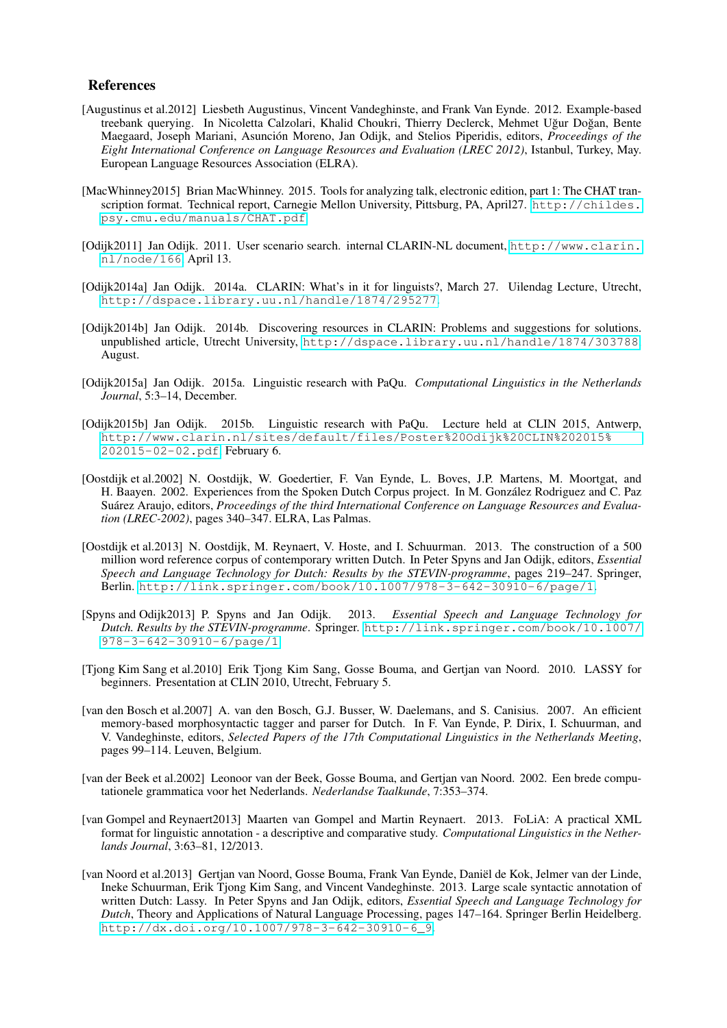#### References

- <span id="page-15-9"></span>[Augustinus et al.2012] Liesbeth Augustinus, Vincent Vandeghinste, and Frank Van Eynde. 2012. Example-based treebank querying. In Nicoletta Calzolari, Khalid Choukri, Thierry Declerck, Mehmet Uğur Doğan, Bente Maegaard, Joseph Mariani, Asunción Moreno, Jan Odijk, and Stelios Piperidis, editors, *Proceedings of the Eight International Conference on Language Resources and Evaluation (LREC 2012)*, Istanbul, Turkey, May. European Language Resources Association (ELRA).
- <span id="page-15-12"></span>[MacWhinney2015] Brian MacWhinney. 2015. Tools for analyzing talk, electronic edition, part 1: The CHAT transcription format. Technical report, Carnegie Mellon University, Pittsburg, PA, April27. [http://childes.](http://childes.psy.cmu.edu/manuals/CHAT.pdf) [psy.cmu.edu/manuals/CHAT.pdf](http://childes.psy.cmu.edu/manuals/CHAT.pdf).
- <span id="page-15-0"></span>[Odijk2011] Jan Odijk. 2011. User scenario search. internal CLARIN-NL document, [http://www.clarin.](http://www.clarin.nl/node/166) [nl/node/166](http://www.clarin.nl/node/166), April 13.
- <span id="page-15-1"></span>[Odijk2014a] Jan Odijk. 2014a. CLARIN: What's in it for linguists?, March 27. Uilendag Lecture, Utrecht, <http://dspace.library.uu.nl/handle/1874/295277>.
- <span id="page-15-3"></span>[Odijk2014b] Jan Odijk. 2014b. Discovering resources in CLARIN: Problems and suggestions for solutions. unpublished article, Utrecht University, <http://dspace.library.uu.nl/handle/1874/303788>, August.
- <span id="page-15-2"></span>[Odijk2015a] Jan Odijk. 2015a. Linguistic research with PaQu. *Computational Linguistics in the Netherlands Journal*, 5:3–14, December.
- <span id="page-15-13"></span>[Odijk2015b] Jan Odijk. 2015b. Linguistic research with PaQu. Lecture held at CLIN 2015, Antwerp, [http://www.clarin.nl/sites/default/files/Poster%20Odijk%20CLIN%202015%](http://www.clarin.nl/sites/default/files/Poster%20Odijk%20CLIN%202015%202015-02-02.pdf) [202015-02-02.pdf](http://www.clarin.nl/sites/default/files/Poster%20Odijk%20CLIN%202015%202015-02-02.pdf), February 6.
- <span id="page-15-10"></span>[Oostdijk et al.2002] N. Oostdijk, W. Goedertier, F. Van Eynde, L. Boves, J.P. Martens, M. Moortgat, and H. Baayen. 2002. Experiences from the Spoken Dutch Corpus project. In M. Gonzalez Rodriguez and C. Paz ´ Suárez Araujo, editors, *Proceedings of the third International Conference on Language Resources and Evaluation (LREC-2002)*, pages 340–347. ELRA, Las Palmas.
- <span id="page-15-4"></span>[Oostdijk et al.2013] N. Oostdijk, M. Reynaert, V. Hoste, and I. Schuurman. 2013. The construction of a 500 million word reference corpus of contemporary written Dutch. In Peter Spyns and Jan Odijk, editors, *Essential Speech and Language Technology for Dutch: Results by the STEVIN-programme*, pages 219–247. Springer, Berlin. <http://link.springer.com/book/10.1007/978-3-642-30910-6/page/1>.
- <span id="page-15-5"></span>[Spyns and Odijk2013] P. Spyns and Jan Odijk. 2013. *Essential Speech and Language Technology for Dutch. Results by the STEVIN-programme*. Springer. [http://link.springer.com/book/10.1007/](http://link.springer.com/book/10.1007/978-3-642-30910-6/page/1) [978-3-642-30910-6/page/1](http://link.springer.com/book/10.1007/978-3-642-30910-6/page/1).
- <span id="page-15-6"></span>[Tjong Kim Sang et al.2010] Erik Tjong Kim Sang, Gosse Bouma, and Gertjan van Noord. 2010. LASSY for beginners. Presentation at CLIN 2010, Utrecht, February 5.
- <span id="page-15-11"></span>[van den Bosch et al.2007] A. van den Bosch, G.J. Busser, W. Daelemans, and S. Canisius. 2007. An efficient memory-based morphosyntactic tagger and parser for Dutch. In F. Van Eynde, P. Dirix, I. Schuurman, and V. Vandeghinste, editors, *Selected Papers of the 17th Computational Linguistics in the Netherlands Meeting*, pages 99–114. Leuven, Belgium.
- <span id="page-15-8"></span>[van der Beek et al.2002] Leonoor van der Beek, Gosse Bouma, and Gertjan van Noord. 2002. Een brede computationele grammatica voor het Nederlands. *Nederlandse Taalkunde*, 7:353–374.
- <span id="page-15-14"></span>[van Gompel and Reynaert2013] Maarten van Gompel and Martin Reynaert. 2013. FoLiA: A practical XML format for linguistic annotation - a descriptive and comparative study. *Computational Linguistics in the Netherlands Journal*, 3:63–81, 12/2013.
- <span id="page-15-7"></span>[van Noord et al.2013] Gertjan van Noord, Gosse Bouma, Frank Van Eynde, Daniel de Kok, Jelmer van der Linde, ¨ Ineke Schuurman, Erik Tjong Kim Sang, and Vincent Vandeghinste. 2013. Large scale syntactic annotation of written Dutch: Lassy. In Peter Spyns and Jan Odijk, editors, *Essential Speech and Language Technology for Dutch*, Theory and Applications of Natural Language Processing, pages 147–164. Springer Berlin Heidelberg. [http://dx.doi.org/10.1007/978-3-642-30910-6\\_9](http://dx.doi.org/10.1007/978-3-642-30910-6_9).